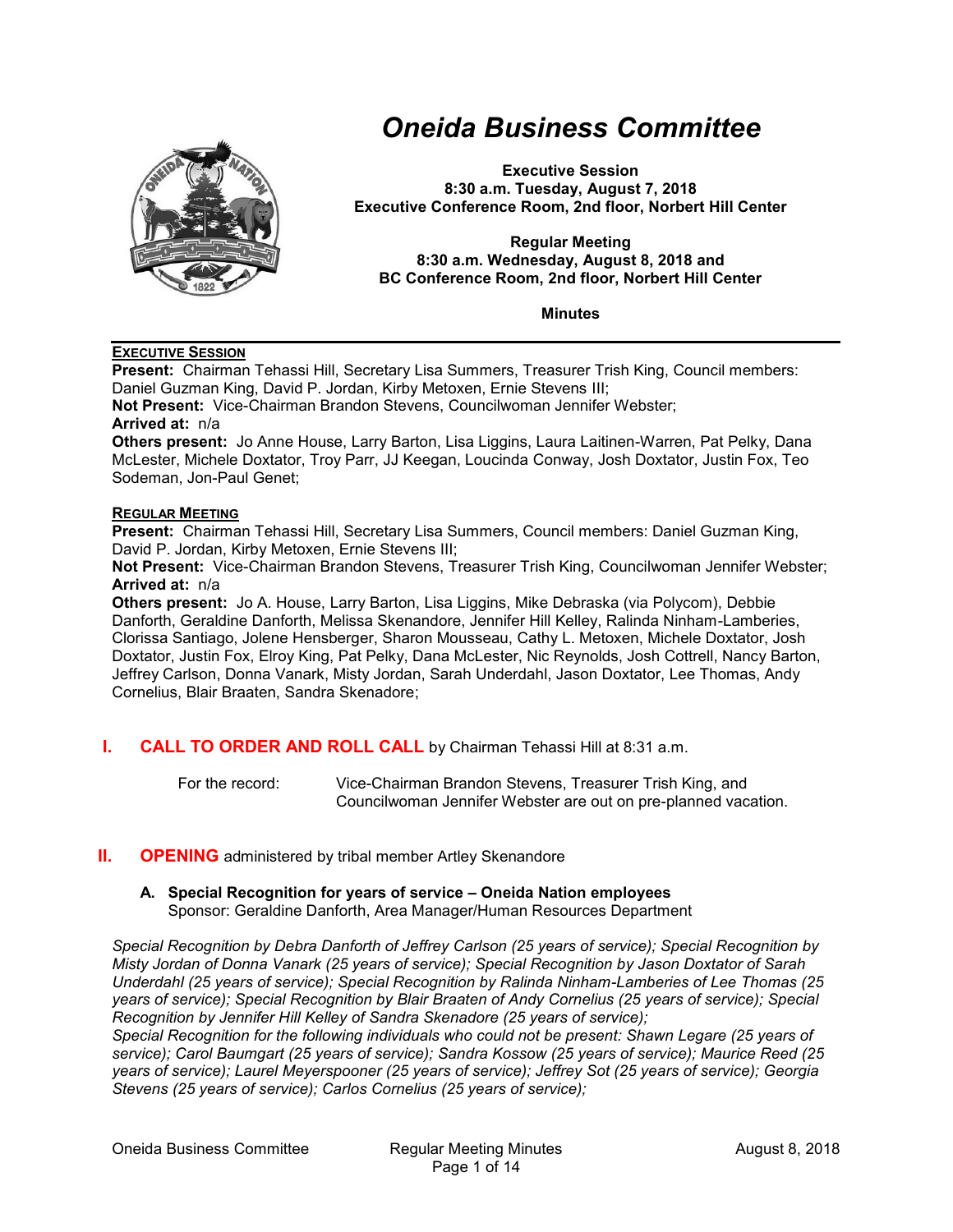

# *Oneida Business Committee*

**Executive Session 8:30 a.m. Tuesday, August 7, 2018 Executive Conference Room, 2nd floor, Norbert Hill Center**

#### **Regular Meeting 8:30 a.m. Wednesday, August 8, 2018 and BC Conference Room, 2nd floor, Norbert Hill Center**

**Minutes**

## **EXECUTIVE SESSION**

**Present:** Chairman Tehassi Hill, Secretary Lisa Summers, Treasurer Trish King, Council members: Daniel Guzman King, David P. Jordan, Kirby Metoxen, Ernie Stevens III;

**Not Present:** Vice-Chairman Brandon Stevens, Councilwoman Jennifer Webster; **Arrived at:** n/a

**Others present:** Jo Anne House, Larry Barton, Lisa Liggins, Laura Laitinen-Warren, Pat Pelky, Dana McLester, Michele Doxtator, Troy Parr, JJ Keegan, Loucinda Conway, Josh Doxtator, Justin Fox, Teo Sodeman, Jon-Paul Genet;

## **REGULAR MEETING**

**Present:** Chairman Tehassi Hill, Secretary Lisa Summers, Council members: Daniel Guzman King, David P. Jordan, Kirby Metoxen, Ernie Stevens III;

**Not Present:** Vice-Chairman Brandon Stevens, Treasurer Trish King, Councilwoman Jennifer Webster; **Arrived at:** n/a

**Others present:** Jo A. House, Larry Barton, Lisa Liggins, Mike Debraska (via Polycom), Debbie Danforth, Geraldine Danforth, Melissa Skenandore, Jennifer Hill Kelley, Ralinda Ninham-Lamberies, Clorissa Santiago, Jolene Hensberger, Sharon Mousseau, Cathy L. Metoxen, Michele Doxtator, Josh Doxtator, Justin Fox, Elroy King, Pat Pelky, Dana McLester, Nic Reynolds, Josh Cottrell, Nancy Barton, Jeffrey Carlson, Donna Vanark, Misty Jordan, Sarah Underdahl, Jason Doxtator, Lee Thomas, Andy Cornelius, Blair Braaten, Sandra Skenadore;

**I. CALL TO ORDER AND ROLL CALL** by Chairman Tehassi Hill at 8:31 a.m.

For the record: Vice-Chairman Brandon Stevens, Treasurer Trish King, and Councilwoman Jennifer Webster are out on pre-planned vacation.

## **II. OPENING** administered by tribal member Artley Skenandore

#### **A. Special Recognition for years of service – Oneida Nation employees** Sponsor: Geraldine Danforth, Area Manager/Human Resources Department

*Special Recognition by Debra Danforth of Jeffrey Carlson (25 years of service); Special Recognition by Misty Jordan of Donna Vanark (25 years of service); Special Recognition by Jason Doxtator of Sarah Underdahl (25 years of service); Special Recognition by Ralinda Ninham-Lamberies of Lee Thomas (25 years of service); Special Recognition by Blair Braaten of Andy Cornelius (25 years of service); Special Recognition by Jennifer Hill Kelley of Sandra Skenadore (25 years of service);*

*Special Recognition for the following individuals who could not be present: Shawn Legare (25 years of service); Carol Baumgart (25 years of service); Sandra Kossow (25 years of service); Maurice Reed (25 years of service); Laurel Meyerspooner (25 years of service); Jeffrey Sot (25 years of service); Georgia Stevens (25 years of service); Carlos Cornelius (25 years of service);*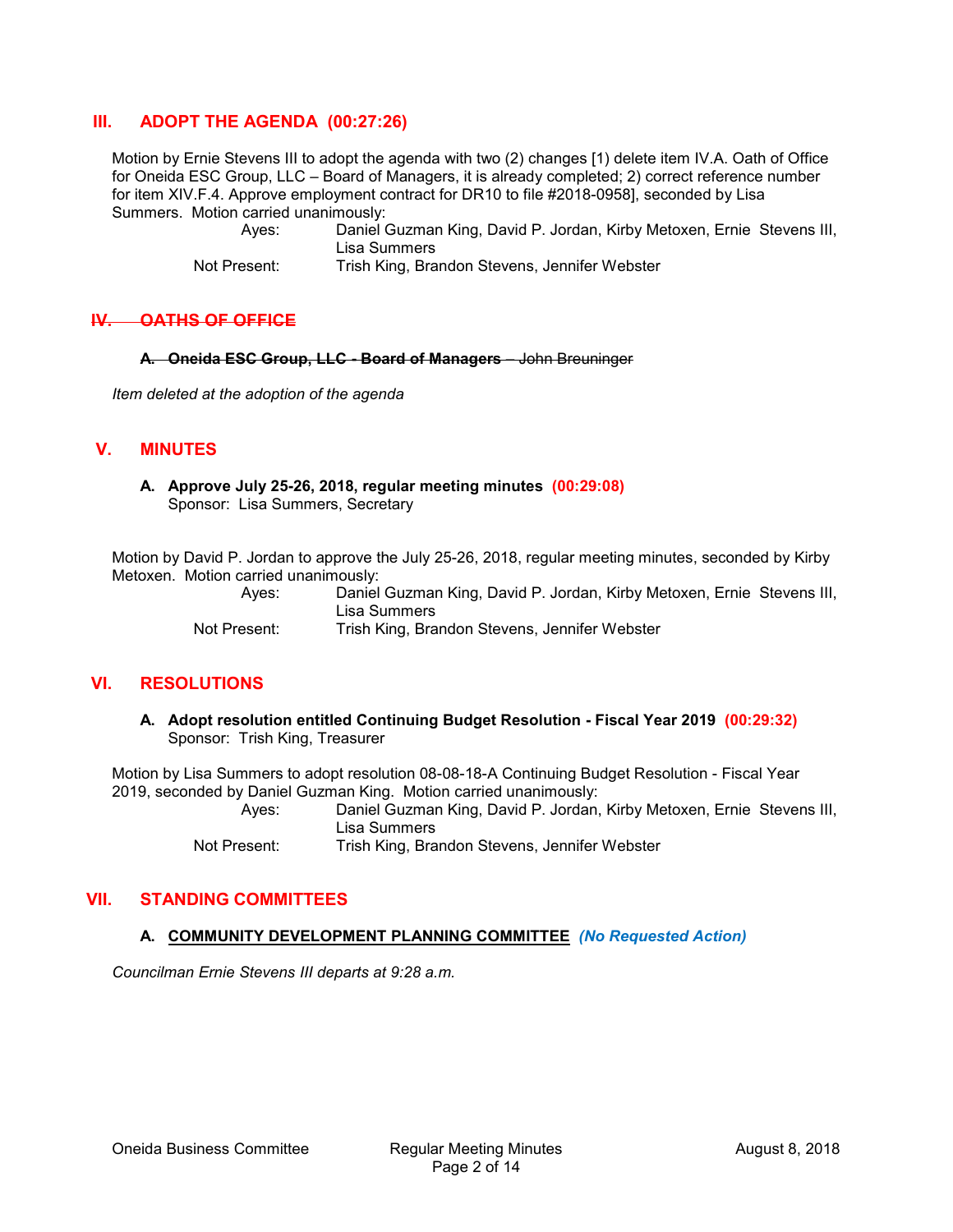## **III. ADOPT THE AGENDA (00:27:26)**

Motion by Ernie Stevens III to adopt the agenda with two (2) changes [1) delete item IV.A. Oath of Office for Oneida ESC Group, LLC – Board of Managers, it is already completed; 2) correct reference number for item XIV.F.4. Approve employment contract for DR10 to file #2018-0958], seconded by Lisa Summers. Motion carried unanimously:

> Ayes: Daniel Guzman King, David P. Jordan, Kirby Metoxen, Ernie Stevens III, Lisa Summers

Not Present: Trish King, Brandon Stevens, Jennifer Webster

## **IV. OATHS OF OFFICE**

**A. Oneida ESC Group, LLC - Board of Managers** – John Breuninger

*Item deleted at the adoption of the agenda* 

## **V. MINUTES**

**A. Approve July 25-26, 2018, regular meeting minutes (00:29:08)** Sponsor: Lisa Summers, Secretary

Motion by David P. Jordan to approve the July 25-26, 2018, regular meeting minutes, seconded by Kirby Metoxen. Motion carried unanimously:

Ayes: Daniel Guzman King, David P. Jordan, Kirby Metoxen, Ernie Stevens III, Lisa Summers Not Present: Trish King, Brandon Stevens, Jennifer Webster

## **VI. RESOLUTIONS**

**A. Adopt resolution entitled Continuing Budget Resolution - Fiscal Year 2019 (00:29:32)** Sponsor: Trish King, Treasurer

Motion by Lisa Summers to adopt resolution 08-08-18-A Continuing Budget Resolution - Fiscal Year 2019, seconded by Daniel Guzman King. Motion carried unanimously: Ayes: Daniel Guzman King, David P. Jordan, Kirby Metoxen, Ernie Stevens III,

Lisa Summers

Not Present: Trish King, Brandon Stevens, Jennifer Webster

## **VII. STANDING COMMITTEES**

#### **A. COMMUNITY DEVELOPMENT PLANNING COMMITTEE** *(No Requested Action)*

*Councilman Ernie Stevens III departs at 9:28 a.m.*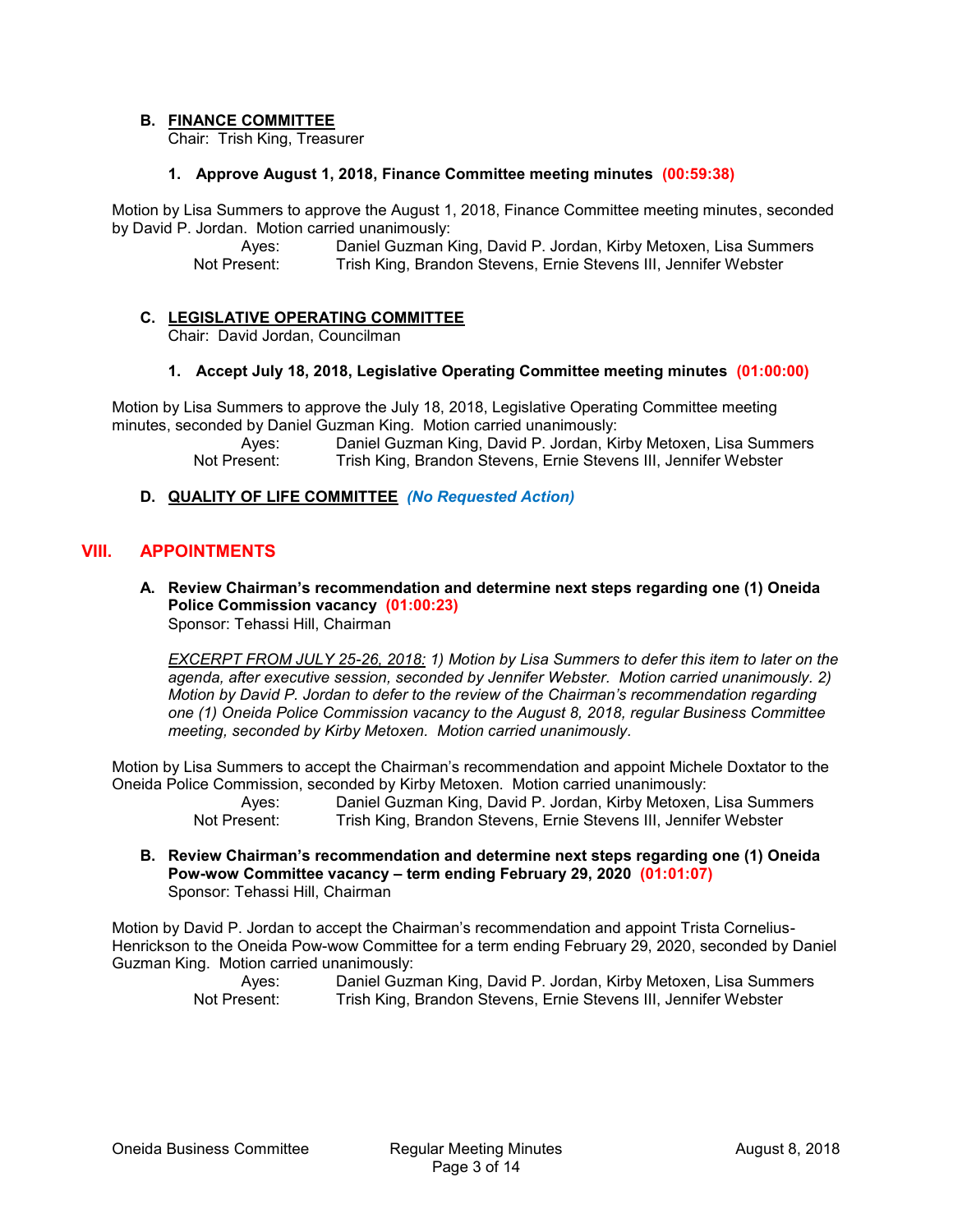## **B. FINANCE COMMITTEE**

Chair: Trish King, Treasurer

#### **1. Approve August 1, 2018, Finance Committee meeting minutes (00:59:38)**

Motion by Lisa Summers to approve the August 1, 2018, Finance Committee meeting minutes, seconded by David P. Jordan. Motion carried unanimously:

> Ayes: Daniel Guzman King, David P. Jordan, Kirby Metoxen, Lisa Summers Not Present: Trish King, Brandon Stevens, Ernie Stevens III, Jennifer Webster

## **C. LEGISLATIVE OPERATING COMMITTEE**

Chair: David Jordan, Councilman

#### **1. Accept July 18, 2018, Legislative Operating Committee meeting minutes (01:00:00)**

Motion by Lisa Summers to approve the July 18, 2018, Legislative Operating Committee meeting minutes, seconded by Daniel Guzman King. Motion carried unanimously:

Ayes: Daniel Guzman King, David P. Jordan, Kirby Metoxen, Lisa Summers Not Present: Trish King, Brandon Stevens, Ernie Stevens III, Jennifer Webster

## **D. QUALITY OF LIFE COMMITTEE** *(No Requested Action)*

## **VIII. APPOINTMENTS**

**A. Review Chairman's recommendation and determine next steps regarding one (1) Oneida Police Commission vacancy (01:00:23)** Sponsor: Tehassi Hill, Chairman

*EXCERPT FROM JULY 25-26, 2018: 1) Motion by Lisa Summers to defer this item to later on the*  agenda, after executive session, seconded by Jennifer Webster. Motion carried unanimously. 2) *Motion by David P. Jordan to defer to the review of the Chairman's recommendation regarding one (1) Oneida Police Commission vacancy to the August 8, 2018, regular Business Committee meeting, seconded by Kirby Metoxen. Motion carried unanimously.*

Motion by Lisa Summers to accept the Chairman's recommendation and appoint Michele Doxtator to the Oneida Police Commission, seconded by Kirby Metoxen. Motion carried unanimously:

> Ayes: Daniel Guzman King, David P. Jordan, Kirby Metoxen, Lisa Summers<br>Not Present: Trish King. Brandon Stevens. Ernie Stevens III. Jennifer Webster Trish King, Brandon Stevens, Ernie Stevens III, Jennifer Webster

**B. Review Chairman's recommendation and determine next steps regarding one (1) Oneida Pow-wow Committee vacancy – term ending February 29, 2020 (01:01:07)** Sponsor: Tehassi Hill, Chairman

Motion by David P. Jordan to accept the Chairman's recommendation and appoint Trista Cornelius-Henrickson to the Oneida Pow-wow Committee for a term ending February 29, 2020, seconded by Daniel Guzman King. Motion carried unanimously:

| Ayes:        | Daniel Guzman King, David P. Jordan, Kirby Metoxen, Lisa Summers |
|--------------|------------------------------------------------------------------|
| Not Present: | Trish King, Brandon Stevens, Ernie Stevens III, Jennifer Webster |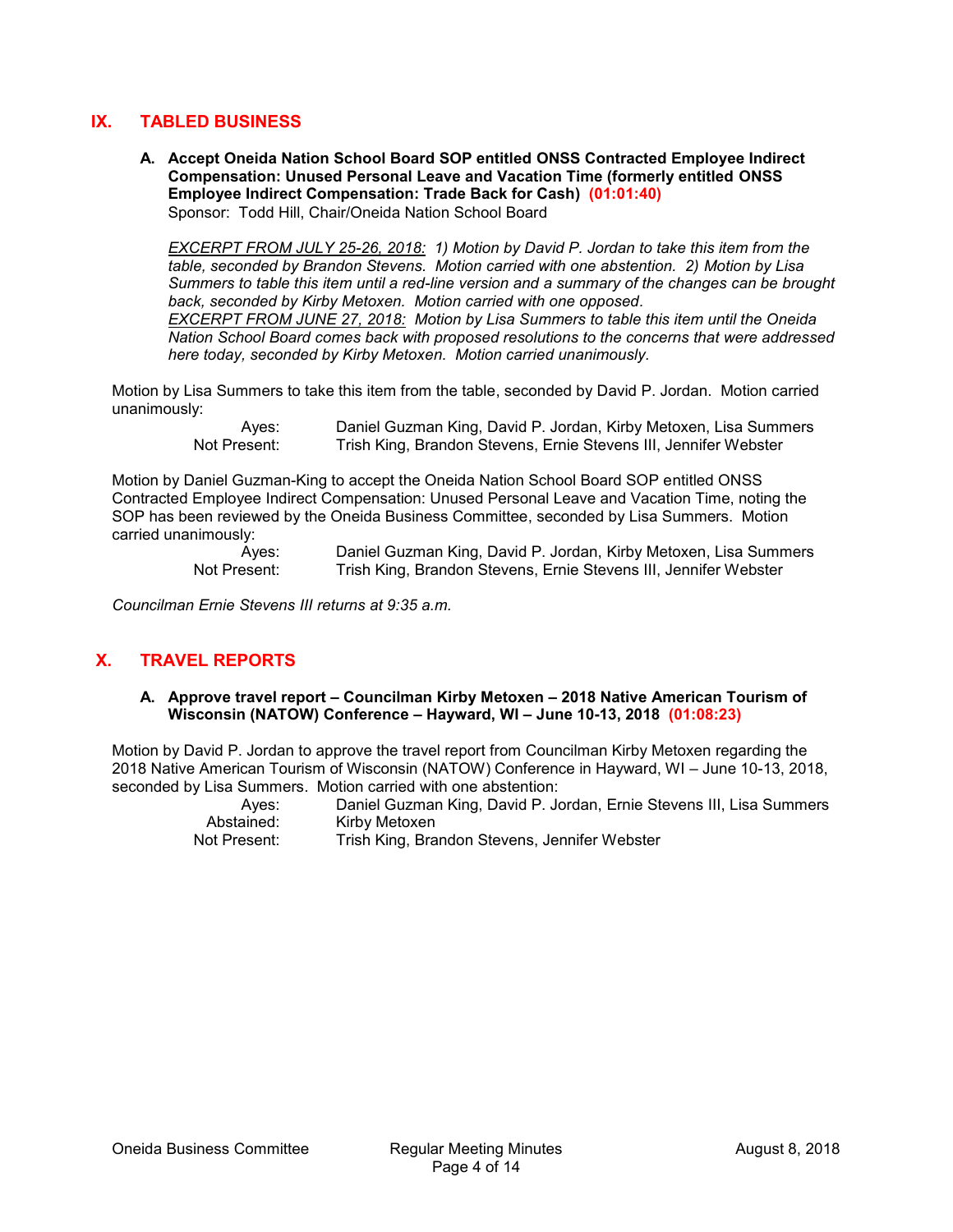# **IX. TABLED BUSINESS**

**A. Accept Oneida Nation School Board SOP entitled ONSS Contracted Employee Indirect Compensation: Unused Personal Leave and Vacation Time (formerly entitled ONSS Employee Indirect Compensation: Trade Back for Cash) (01:01:40)** Sponsor: Todd Hill, Chair/Oneida Nation School Board

*EXCERPT FROM JULY 25-26, 2018: 1) Motion by David P. Jordan to take this item from the table, seconded by Brandon Stevens. Motion carried with one abstention. 2) Motion by Lisa Summers to table this item until a red-line version and a summary of the changes can be brought back, seconded by Kirby Metoxen. Motion carried with one opposed. EXCERPT FROM JUNE 27, 2018: Motion by Lisa Summers to table this item until the Oneida Nation School Board comes back with proposed resolutions to the concerns that were addressed* 

*here today, seconded by Kirby Metoxen. Motion carried unanimously.*

Motion by Lisa Summers to take this item from the table, seconded by David P. Jordan. Motion carried unanimously:

Ayes: Daniel Guzman King, David P. Jordan, Kirby Metoxen, Lisa Summers<br>Not Present: Trish King. Brandon Stevens. Ernie Stevens III. Jennifer Webster Trish King, Brandon Stevens, Ernie Stevens III, Jennifer Webster

Motion by Daniel Guzman-King to accept the Oneida Nation School Board SOP entitled ONSS Contracted Employee Indirect Compensation: Unused Personal Leave and Vacation Time, noting the SOP has been reviewed by the Oneida Business Committee, seconded by Lisa Summers. Motion carried unanimously:

Ayes: Daniel Guzman King, David P. Jordan, Kirby Metoxen, Lisa Summers Not Present: Trish King, Brandon Stevens, Ernie Stevens III, Jennifer Webster

*Councilman Ernie Stevens III returns at 9:35 a.m.*

# **X. TRAVEL REPORTS**

**A. Approve travel report – Councilman Kirby Metoxen – 2018 Native American Tourism of Wisconsin (NATOW) Conference – Hayward, WI – June 10-13, 2018 (01:08:23)**

Motion by David P. Jordan to approve the travel report from Councilman Kirby Metoxen regarding the 2018 Native American Tourism of Wisconsin (NATOW) Conference in Hayward, WI – June 10-13, 2018, seconded by Lisa Summers. Motion carried with one abstention:

|              | $\mathbf{r}$ . The contract of the contract of the contract of the contract of the contract of the contract of the contract of the contract of the contract of the contract of the contract of the contract of the contract of th |
|--------------|-----------------------------------------------------------------------------------------------------------------------------------------------------------------------------------------------------------------------------------|
| Aves:        | Daniel Guzman King, David P. Jordan, Ernie Stevens III, Lisa Summers                                                                                                                                                              |
| Abstained:   | Kirby Metoxen                                                                                                                                                                                                                     |
| Not Present: | Trish King, Brandon Stevens, Jennifer Webster                                                                                                                                                                                     |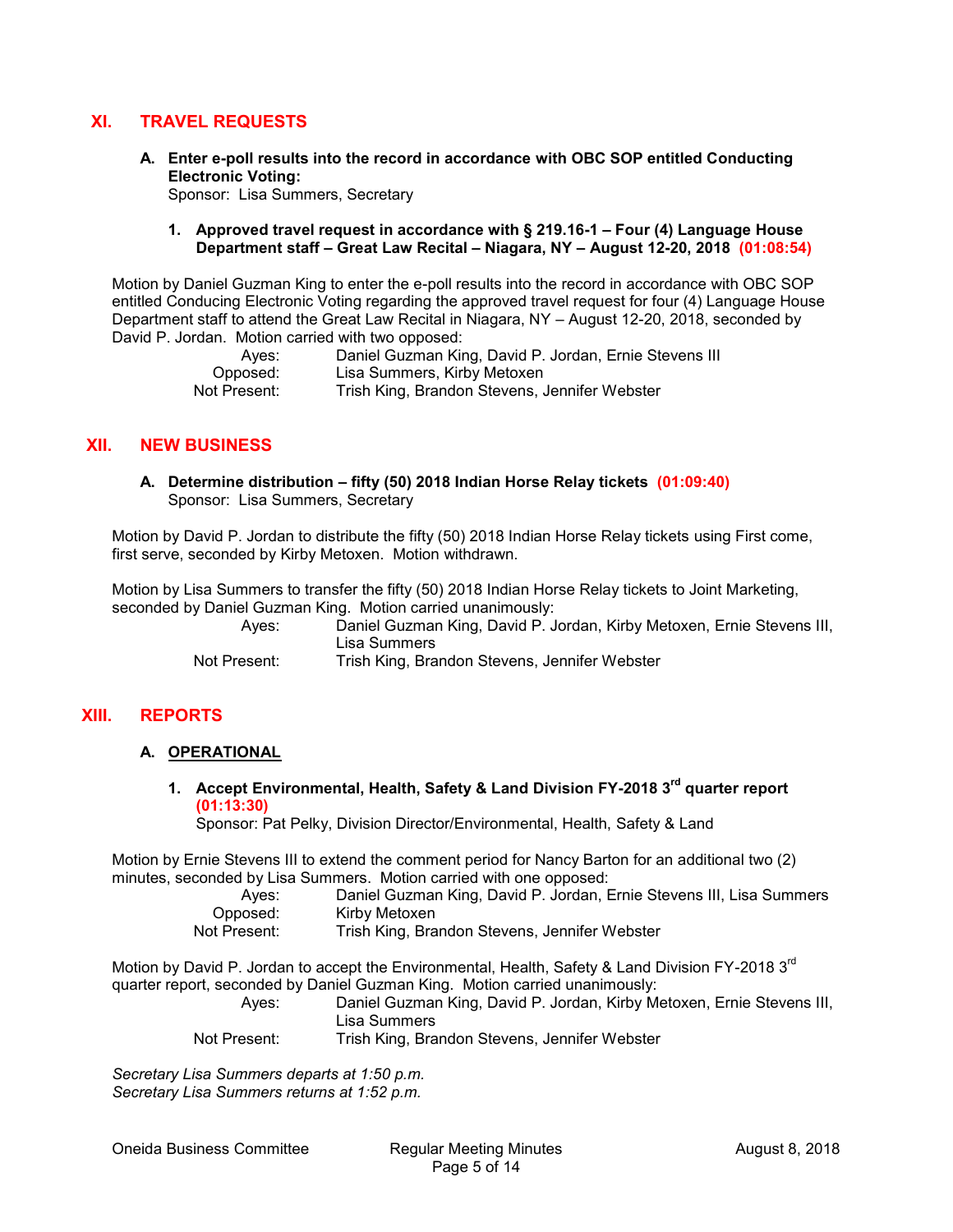## **XI. TRAVEL REQUESTS**

**A. Enter e-poll results into the record in accordance with OBC SOP entitled Conducting Electronic Voting:**

Sponsor: Lisa Summers, Secretary

#### **1. Approved travel request in accordance with § 219.16-1 – Four (4) Language House Department staff – Great Law Recital – Niagara, NY – August 12-20, 2018 (01:08:54)**

Motion by Daniel Guzman King to enter the e-poll results into the record in accordance with OBC SOP entitled Conducing Electronic Voting regarding the approved travel request for four (4) Language House Department staff to attend the Great Law Recital in Niagara, NY – August 12-20, 2018, seconded by David P. Jordan. Motion carried with two opposed:

| Aves:        | Daniel Guzman King, David P. Jordan, Ernie Stevens III |
|--------------|--------------------------------------------------------|
| Opposed:     | Lisa Summers, Kirby Metoxen                            |
| Not Present: | Trish King, Brandon Stevens, Jennifer Webster          |

## **XII. NEW BUSINESS**

**A. Determine distribution – fifty (50) 2018 Indian Horse Relay tickets (01:09:40)** Sponsor: Lisa Summers, Secretary

Motion by David P. Jordan to distribute the fifty (50) 2018 Indian Horse Relay tickets using First come, first serve, seconded by Kirby Metoxen. Motion withdrawn.

Motion by Lisa Summers to transfer the fifty (50) 2018 Indian Horse Relay tickets to Joint Marketing, seconded by Daniel Guzman King. Motion carried unanimously:

| Aves:        | Daniel Guzman King, David P. Jordan, Kirby Metoxen, Ernie Stevens III, |
|--------------|------------------------------------------------------------------------|
|              | Lisa Summers                                                           |
| Not Present: | Trish King, Brandon Stevens, Jennifer Webster                          |

## **XIII. REPORTS**

# **A. OPERATIONAL**

**1. Accept Environmental, Health, Safety & Land Division FY-2018 3 rd quarter report (01:13:30)**

Sponsor: Pat Pelky, Division Director/Environmental, Health, Safety & Land

Motion by Ernie Stevens III to extend the comment period for Nancy Barton for an additional two (2) minutes, seconded by Lisa Summers. Motion carried with one opposed:

| Ayes:    | Daniel Guzman King, David P. Jordan, Ernie Stevens III, Lisa Summers |
|----------|----------------------------------------------------------------------|
| Opposed: | Kirby Metoxen                                                        |
|          | Table Marco Darradore Otrossoro - Local Contabilidade                |

Not Present: Trish King, Brandon Stevens, Jennifer Webster

Motion by David P. Jordan to accept the Environmental, Health, Safety & Land Division FY-2018 3<sup>rd</sup> quarter report, seconded by Daniel Guzman King. Motion carried unanimously:

Ayes: Daniel Guzman King, David P. Jordan, Kirby Metoxen, Ernie Stevens III, Lisa Summers

Not Present: Trish King, Brandon Stevens, Jennifer Webster

*Secretary Lisa Summers departs at 1:50 p.m. Secretary Lisa Summers returns at 1:52 p.m.*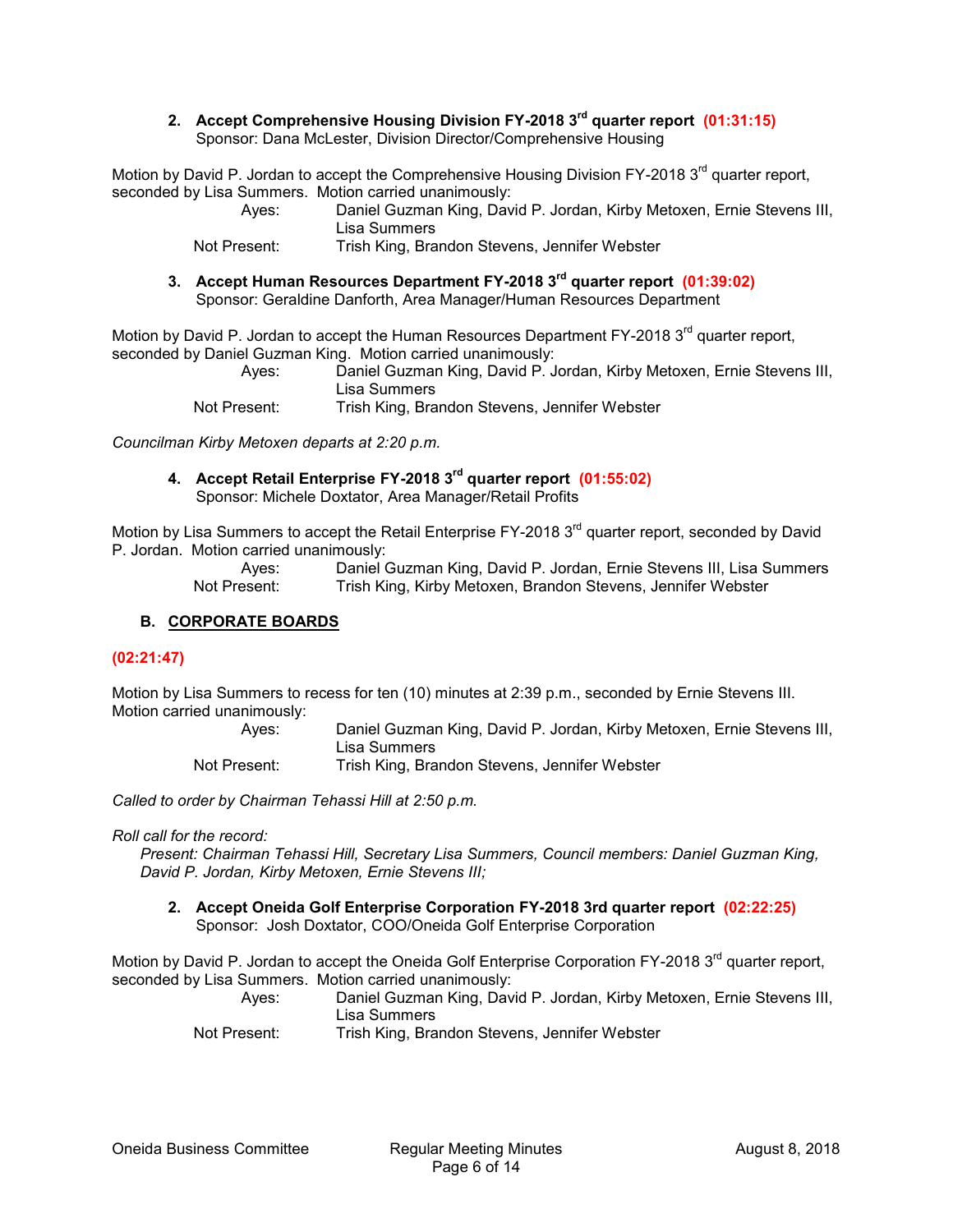**2. Accept Comprehensive Housing Division FY-2018 3rd quarter report (01:31:15)** Sponsor: Dana McLester, Division Director/Comprehensive Housing

Motion by David P. Jordan to accept the Comprehensive Housing Division FY-2018  $3<sup>rd</sup>$  quarter report, seconded by Lisa Summers. Motion carried unanimously:

Ayes: Daniel Guzman King, David P. Jordan, Kirby Metoxen, Ernie Stevens III, Lisa Summers

Not Present: Trish King, Brandon Stevens, Jennifer Webster

**3. Accept Human Resources Department FY-2018 3 rd quarter report (01:39:02)** Sponsor: Geraldine Danforth, Area Manager/Human Resources Department

Motion by David P. Jordan to accept the Human Resources Department FY-2018 3<sup>rd</sup> quarter report. seconded by Daniel Guzman King. Motion carried unanimously: Daniel Guzman King, David P. Jordan, Kirby Metoxen, Ernie Stevens III, Lisa Summers

Not Present: Trish King, Brandon Stevens, Jennifer Webster

*Councilman Kirby Metoxen departs at 2:20 p.m.*

**4. Accept Retail Enterprise FY-2018 3rd quarter report (01:55:02)** Sponsor: Michele Doxtator, Area Manager/Retail Profits

Motion by Lisa Summers to accept the Retail Enterprise FY-2018 3<sup>rd</sup> quarter report, seconded by David P. Jordan. Motion carried unanimously:

Ayes: Daniel Guzman King, David P. Jordan, Ernie Stevens III, Lisa Summers Not Present: Trish King, Kirby Metoxen, Brandon Stevens, Jennifer Webster

## **B. CORPORATE BOARDS**

## **(02:21:47)**

Motion by Lisa Summers to recess for ten (10) minutes at 2:39 p.m., seconded by Ernie Stevens III. Motion carried unanimously:

> Ayes: Daniel Guzman King, David P. Jordan, Kirby Metoxen, Ernie Stevens III, Lisa Summers Not Present: Trish King, Brandon Stevens, Jennifer Webster

*Called to order by Chairman Tehassi Hill at 2:50 p.m.*

*Roll call for the record:*

*Present: Chairman Tehassi Hill, Secretary Lisa Summers, Council members: Daniel Guzman King, David P. Jordan, Kirby Metoxen, Ernie Stevens III;*

**2. Accept Oneida Golf Enterprise Corporation FY-2018 3rd quarter report (02:22:25)** Sponsor: Josh Doxtator, COO/Oneida Golf Enterprise Corporation

Motion by David P. Jordan to accept the Oneida Golf Enterprise Corporation FY-2018 3<sup>rd</sup> quarter report, seconded by Lisa Summers. Motion carried unanimously:

Ayes: Daniel Guzman King, David P. Jordan, Kirby Metoxen, Ernie Stevens III, Lisa Summers

Not Present: Trish King, Brandon Stevens, Jennifer Webster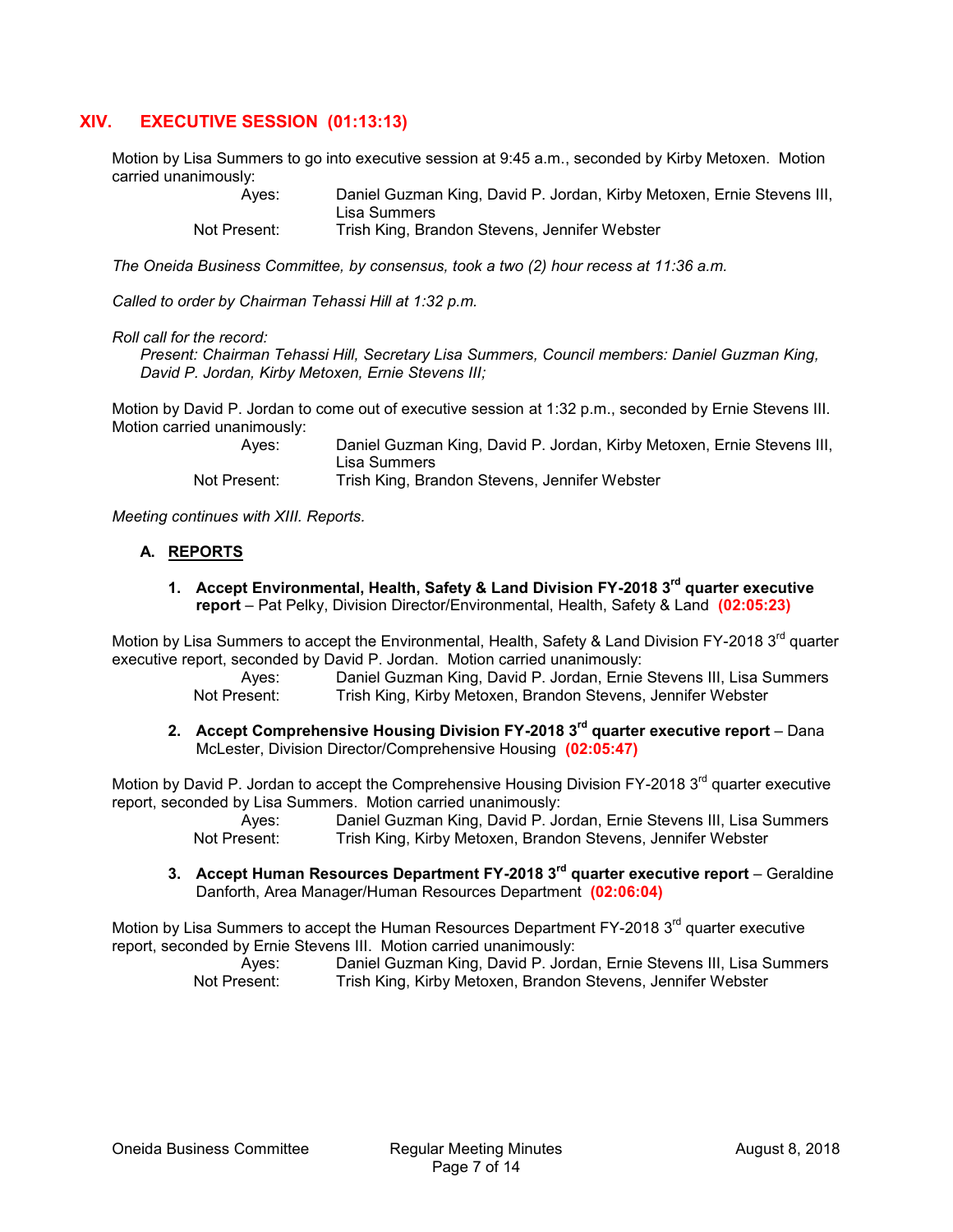## **XIV. EXECUTIVE SESSION (01:13:13)**

Motion by Lisa Summers to go into executive session at 9:45 a.m., seconded by Kirby Metoxen. Motion carried unanimously:

| Aves:        | Daniel Guzman King, David P. Jordan, Kirby Metoxen, Ernie Stevens III, |
|--------------|------------------------------------------------------------------------|
|              | Lisa Summers                                                           |
| Not Present: | Trish King, Brandon Stevens, Jennifer Webster                          |

*The Oneida Business Committee, by consensus, took a two (2) hour recess at 11:36 a.m.*

*Called to order by Chairman Tehassi Hill at 1:32 p.m.*

#### *Roll call for the record:*

*Present: Chairman Tehassi Hill, Secretary Lisa Summers, Council members: Daniel Guzman King, David P. Jordan, Kirby Metoxen, Ernie Stevens III;*

Motion by David P. Jordan to come out of executive session at 1:32 p.m., seconded by Ernie Stevens III. Motion carried unanimously:

| Aves:        | Daniel Guzman King, David P. Jordan, Kirby Metoxen, Ernie Stevens III, |
|--------------|------------------------------------------------------------------------|
|              | Lisa Summers                                                           |
| Not Present: | Trish King, Brandon Stevens, Jennifer Webster                          |

*Meeting continues with XIII. Reports.*

#### **A. REPORTS**

**1. Accept Environmental, Health, Safety & Land Division FY-2018 3rd quarter executive report** – Pat Pelky, Division Director/Environmental, Health, Safety & Land **(02:05:23)**

Motion by Lisa Summers to accept the Environmental, Health, Safety & Land Division FY-2018 3<sup>rd</sup> quarter executive report, seconded by David P. Jordan. Motion carried unanimously:

Ayes: Daniel Guzman King, David P. Jordan, Ernie Stevens III, Lisa Summers Not Present: Trish King, Kirby Metoxen, Brandon Stevens, Jennifer Webster

**2. Accept Comprehensive Housing Division FY-2018 3rd quarter executive report** – Dana McLester, Division Director/Comprehensive Housing **(02:05:47)**

Motion by David P. Jordan to accept the Comprehensive Housing Division FY-2018  $3<sup>rd</sup>$  quarter executive report, seconded by Lisa Summers. Motion carried unanimously:

Ayes: Daniel Guzman King, David P. Jordan, Ernie Stevens III, Lisa Summers Not Present: Trish King, Kirby Metoxen, Brandon Stevens, Jennifer Webster

**3. Accept Human Resources Department FY-2018 3rd quarter executive report** – Geraldine Danforth, Area Manager/Human Resources Department **(02:06:04)**

Motion by Lisa Summers to accept the Human Resources Department FY-2018 3<sup>rd</sup> quarter executive report, seconded by Ernie Stevens III. Motion carried unanimously:

| Ayes:        | Daniel Guzman King, David P. Jordan, Ernie Stevens III, Lisa Summers |
|--------------|----------------------------------------------------------------------|
| Not Present: | Trish King, Kirby Metoxen, Brandon Stevens, Jennifer Webster         |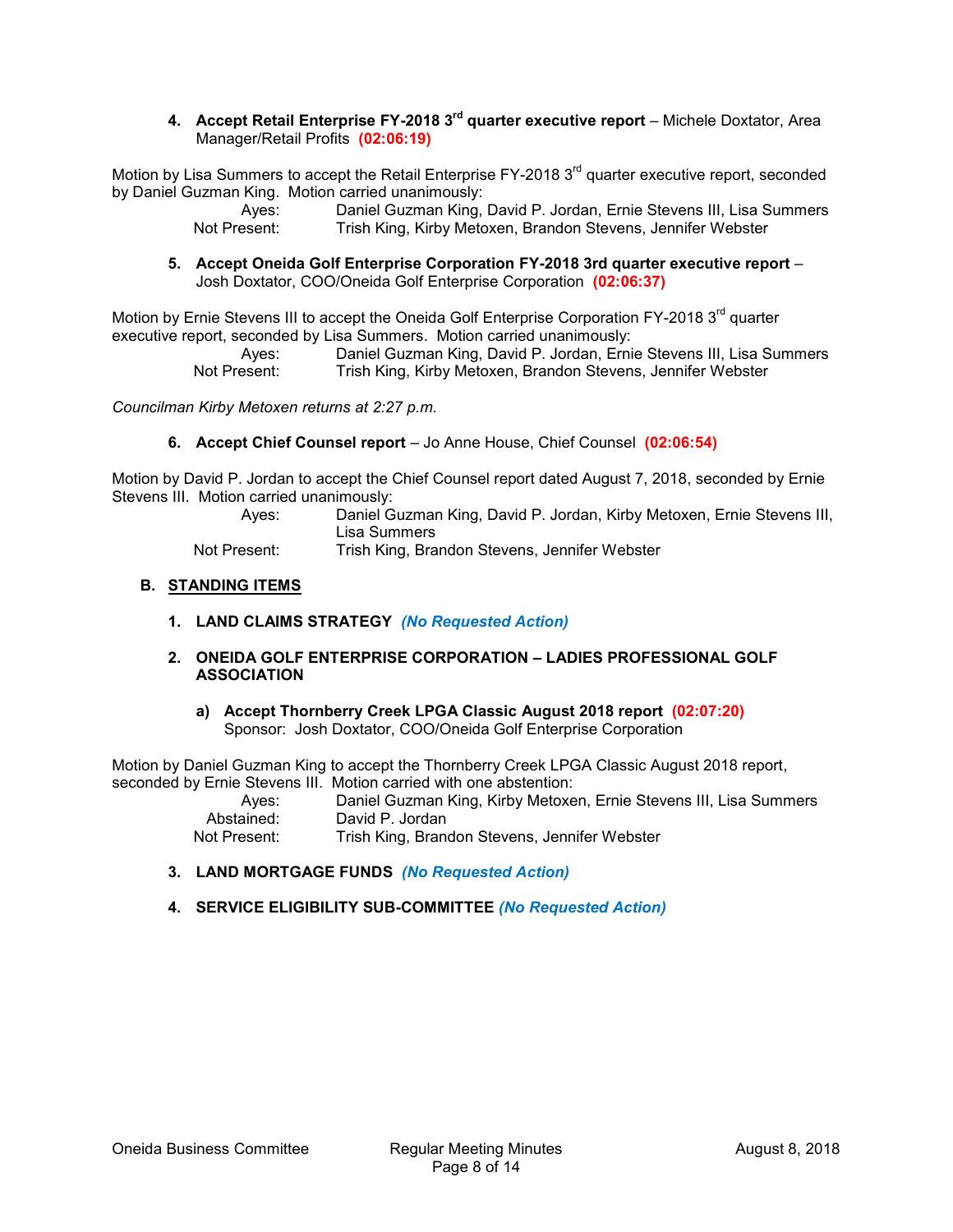## **4. Accept Retail Enterprise FY-2018 3rd quarter executive report** – Michele Doxtator, Area Manager/Retail Profits **(02:06:19)**

Motion by Lisa Summers to accept the Retail Enterprise FY-2018 3<sup>rd</sup> quarter executive report, seconded by Daniel Guzman King. Motion carried unanimously:

Daniel Guzman King, David P. Jordan, Ernie Stevens III, Lisa Summers Not Present: Trish King, Kirby Metoxen, Brandon Stevens, Jennifer Webster

**5. Accept Oneida Golf Enterprise Corporation FY-2018 3rd quarter executive report** – Josh Doxtator, COO/Oneida Golf Enterprise Corporation **(02:06:37)**

Motion by Ernie Stevens III to accept the Oneida Golf Enterprise Corporation FY-2018 3<sup>rd</sup> quarter executive report, seconded by Lisa Summers. Motion carried unanimously:

> Ayes: Daniel Guzman King, David P. Jordan, Ernie Stevens III, Lisa Summers Not Present: Trish King, Kirby Metoxen, Brandon Stevens, Jennifer Webster

*Councilman Kirby Metoxen returns at 2:27 p.m.*

#### **6. Accept Chief Counsel report** – Jo Anne House, Chief Counsel **(02:06:54)**

Motion by David P. Jordan to accept the Chief Counsel report dated August 7, 2018, seconded by Ernie Stevens III. Motion carried unanimously:

| Aves:        | Daniel Guzman King, David P. Jordan, Kirby Metoxen, Ernie Stevens III, |
|--------------|------------------------------------------------------------------------|
|              | Lisa Summers                                                           |
| Not Present: | Trish King, Brandon Stevens, Jennifer Webster                          |

#### **B. STANDING ITEMS**

- **1. LAND CLAIMS STRATEGY** *(No Requested Action)*
- **2. ONEIDA GOLF ENTERPRISE CORPORATION – LADIES PROFESSIONAL GOLF ASSOCIATION**
	- **a) Accept Thornberry Creek LPGA Classic August 2018 report (02:07:20)** Sponsor: Josh Doxtator, COO/Oneida Golf Enterprise Corporation

Motion by Daniel Guzman King to accept the Thornberry Creek LPGA Classic August 2018 report, seconded by Ernie Stevens III. Motion carried with one abstention:

Ayes: Daniel Guzman King, Kirby Metoxen, Ernie Stevens III, Lisa Summers Abstained: David P. Jordan Not Present: Trish King, Brandon Stevens, Jennifer Webster

- **3. LAND MORTGAGE FUNDS** *(No Requested Action)*
- **4. SERVICE ELIGIBILITY SUB-COMMITTEE** *(No Requested Action)*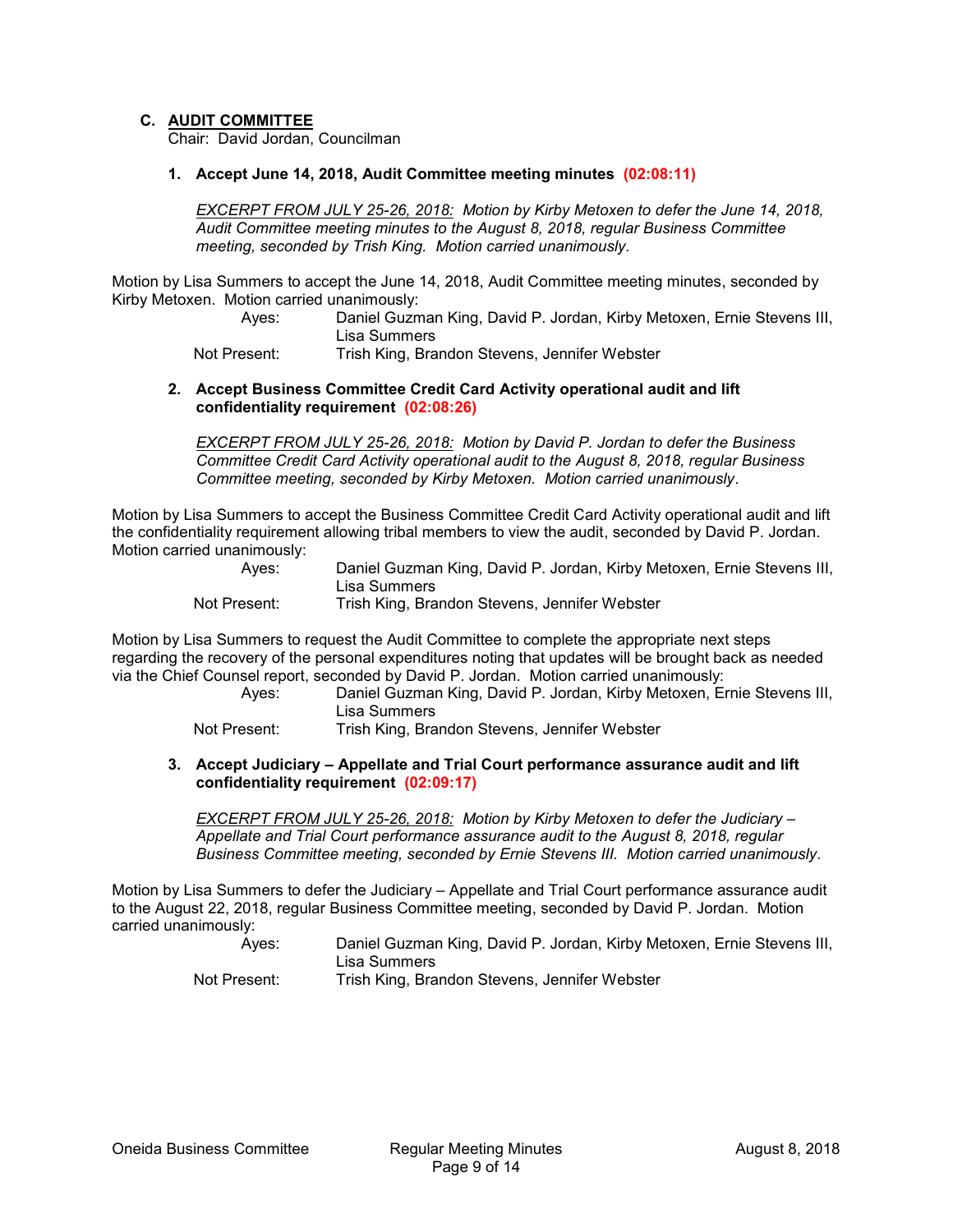## **C. AUDIT COMMITTEE**

Chair: David Jordan, Councilman

#### **1. Accept June 14, 2018, Audit Committee meeting minutes (02:08:11)**

*EXCERPT FROM JULY 25-26, 2018: Motion by Kirby Metoxen to defer the June 14, 2018, Audit Committee meeting minutes to the August 8, 2018, regular Business Committee meeting, seconded by Trish King. Motion carried unanimously.*

Motion by Lisa Summers to accept the June 14, 2018, Audit Committee meeting minutes, seconded by Kirby Metoxen. Motion carried unanimously:

> Ayes: Daniel Guzman King, David P. Jordan, Kirby Metoxen, Ernie Stevens III, Lisa Summers

Not Present: Trish King, Brandon Stevens, Jennifer Webster

#### **2. Accept Business Committee Credit Card Activity operational audit and lift confidentiality requirement (02:08:26)**

*EXCERPT FROM JULY 25-26, 2018: Motion by David P. Jordan to defer the Business Committee Credit Card Activity operational audit to the August 8, 2018, regular Business Committee meeting, seconded by Kirby Metoxen. Motion carried unanimously*.

Motion by Lisa Summers to accept the Business Committee Credit Card Activity operational audit and lift the confidentiality requirement allowing tribal members to view the audit, seconded by David P. Jordan. Motion carried unanimously:

| Aves:        | Daniel Guzman King, David P. Jordan, Kirby Metoxen, Ernie Stevens III, |
|--------------|------------------------------------------------------------------------|
|              | Lisa Summers                                                           |
| Not Present: | Trish King, Brandon Stevens, Jennifer Webster                          |

Motion by Lisa Summers to request the Audit Committee to complete the appropriate next steps regarding the recovery of the personal expenditures noting that updates will be brought back as needed via the Chief Counsel report, seconded by David P. Jordan. Motion carried unanimously:

Ayes: Daniel Guzman King, David P. Jordan, Kirby Metoxen, Ernie Stevens III, Lisa Summers

Not Present: Trish King, Brandon Stevens, Jennifer Webster

**3. Accept Judiciary – Appellate and Trial Court performance assurance audit and lift confidentiality requirement (02:09:17)**

*EXCERPT FROM JULY 25-26, 2018: Motion by Kirby Metoxen to defer the Judiciary – Appellate and Trial Court performance assurance audit to the August 8, 2018, regular Business Committee meeting, seconded by Ernie Stevens III. Motion carried unanimously.*

Motion by Lisa Summers to defer the Judiciary – Appellate and Trial Court performance assurance audit to the August 22, 2018, regular Business Committee meeting, seconded by David P. Jordan. Motion carried unanimously:

Ayes: Daniel Guzman King, David P. Jordan, Kirby Metoxen, Ernie Stevens III, Lisa Summers Not Present: Trish King, Brandon Stevens, Jennifer Webster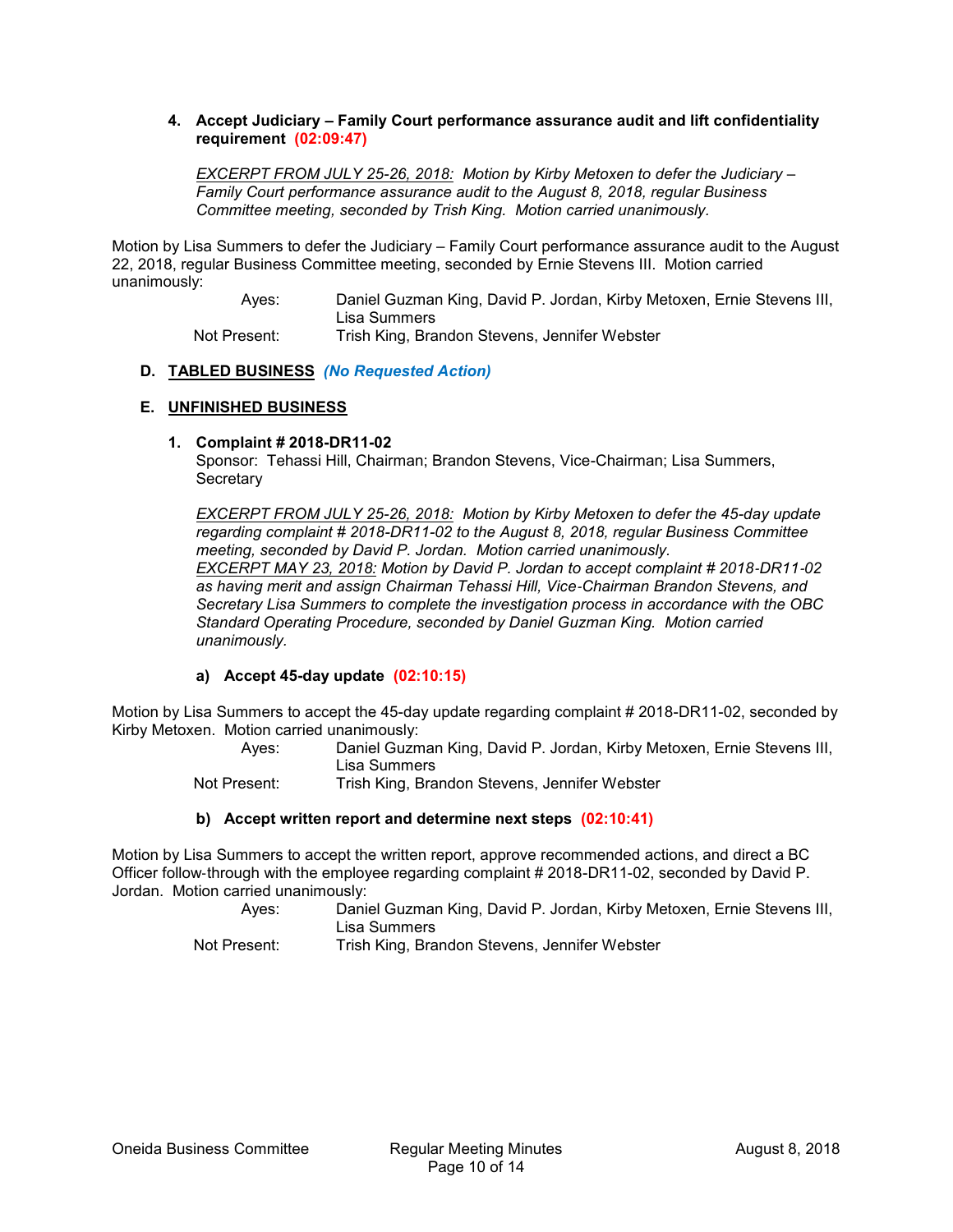## **4. Accept Judiciary – Family Court performance assurance audit and lift confidentiality requirement (02:09:47)**

*EXCERPT FROM JULY 25-26, 2018: Motion by Kirby Metoxen to defer the Judiciary – Family Court performance assurance audit to the August 8, 2018, regular Business Committee meeting, seconded by Trish King. Motion carried unanimously.*

Motion by Lisa Summers to defer the Judiciary – Family Court performance assurance audit to the August 22, 2018, regular Business Committee meeting, seconded by Ernie Stevens III. Motion carried unanimously:

> Ayes: Daniel Guzman King, David P. Jordan, Kirby Metoxen, Ernie Stevens III, Lisa Summers Not Present: Trish King, Brandon Stevens, Jennifer Webster

## **D. TABLED BUSINESS** *(No Requested Action)*

## **E. UNFINISHED BUSINESS**

## **1. Complaint # 2018-DR11-02**

Sponsor: Tehassi Hill, Chairman; Brandon Stevens, Vice-Chairman; Lisa Summers, **Secretary** 

*EXCERPT FROM JULY 25-26, 2018: Motion by Kirby Metoxen to defer the 45-day update regarding complaint # 2018-DR11-02 to the August 8, 2018, regular Business Committee meeting, seconded by David P. Jordan. Motion carried unanimously. EXCERPT MAY 23, 2018: Motion by David P. Jordan to accept complaint # 2018*‐*DR11*‐*02 as having merit and assign Chairman Tehassi Hill, Vice*‐*Chairman Brandon Stevens, and Secretary Lisa Summers to complete the investigation process in accordance with the OBC Standard Operating Procedure, seconded by Daniel Guzman King. Motion carried unanimously.*

## **a) Accept 45-day update (02:10:15)**

Motion by Lisa Summers to accept the 45-day update regarding complaint # 2018-DR11-02, seconded by Kirby Metoxen. Motion carried unanimously:

> Ayes: Daniel Guzman King, David P. Jordan, Kirby Metoxen, Ernie Stevens III, Lisa Summers

Not Present: Trish King, Brandon Stevens, Jennifer Webster

## **b) Accept written report and determine next steps (02:10:41)**

Motion by Lisa Summers to accept the written report, approve recommended actions, and direct a BC Officer follow‐through with the employee regarding complaint # 2018-DR11-02, seconded by David P. Jordan. Motion carried unanimously:

Ayes: Daniel Guzman King, David P. Jordan, Kirby Metoxen, Ernie Stevens III, Lisa Summers Not Present: Trish King, Brandon Stevens, Jennifer Webster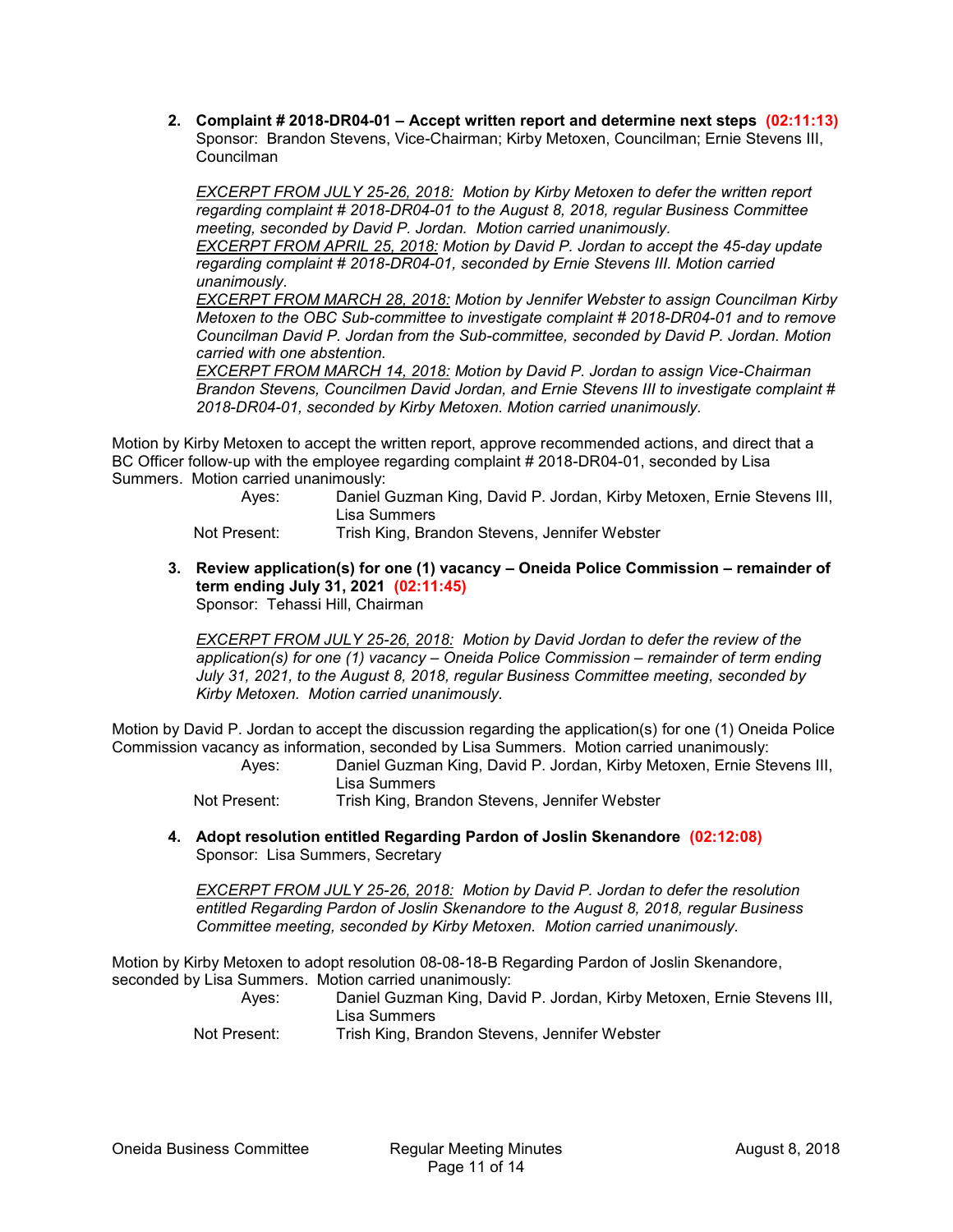**2. Complaint # 2018-DR04-01 – Accept written report and determine next steps (02:11:13)** Sponsor: Brandon Stevens, Vice-Chairman; Kirby Metoxen, Councilman; Ernie Stevens III, Councilman

*EXCERPT FROM JULY 25-26, 2018: Motion by Kirby Metoxen to defer the written report regarding complaint # 2018-DR04-01 to the August 8, 2018, regular Business Committee meeting, seconded by David P. Jordan. Motion carried unanimously. EXCERPT FROM APRIL 25, 2018: Motion by David P. Jordan to accept the 45-day update* 

*regarding complaint # 2018-DR04-01, seconded by Ernie Stevens III. Motion carried unanimously.*

*EXCERPT FROM MARCH 28, 2018: Motion by Jennifer Webster to assign Councilman Kirby Metoxen to the OBC Sub-committee to investigate complaint # 2018-DR04-01 and to remove Councilman David P. Jordan from the Sub-committee, seconded by David P. Jordan. Motion carried with one abstention.*

*EXCERPT FROM MARCH 14, 2018: Motion by David P. Jordan to assign Vice-Chairman Brandon Stevens, Councilmen David Jordan, and Ernie Stevens III to investigate complaint # 2018-DR04-01, seconded by Kirby Metoxen. Motion carried unanimously.*

Motion by Kirby Metoxen to accept the written report, approve recommended actions, and direct that a BC Officer follow-up with the employee regarding complaint # 2018-DR04-01, seconded by Lisa Summers. Motion carried unanimously:

> Ayes: Daniel Guzman King, David P. Jordan, Kirby Metoxen, Ernie Stevens III, Lisa Summers

Not Present: Trish King, Brandon Stevens, Jennifer Webster

**3. Review application(s) for one (1) vacancy – Oneida Police Commission – remainder of term ending July 31, 2021 (02:11:45)** Sponsor: Tehassi Hill, Chairman

*EXCERPT FROM JULY 25-26, 2018: Motion by David Jordan to defer the review of the application(s) for one (1) vacancy – Oneida Police Commission – remainder of term ending July 31, 2021, to the August 8, 2018, regular Business Committee meeting, seconded by Kirby Metoxen. Motion carried unanimously.*

Motion by David P. Jordan to accept the discussion regarding the application(s) for one (1) Oneida Police Commission vacancy as information, seconded by Lisa Summers. Motion carried unanimously:

Ayes: Daniel Guzman King, David P. Jordan, Kirby Metoxen, Ernie Stevens III, Lisa Summers

Not Present: Trish King, Brandon Stevens, Jennifer Webster

**4. Adopt resolution entitled Regarding Pardon of Joslin Skenandore (02:12:08)** Sponsor: Lisa Summers, Secretary

*EXCERPT FROM JULY 25-26, 2018: Motion by David P. Jordan to defer the resolution entitled Regarding Pardon of Joslin Skenandore to the August 8, 2018, regular Business Committee meeting, seconded by Kirby Metoxen. Motion carried unanimously.*

Motion by Kirby Metoxen to adopt resolution 08-08-18-B Regarding Pardon of Joslin Skenandore, seconded by Lisa Summers. Motion carried unanimously:

Ayes: Daniel Guzman King, David P. Jordan, Kirby Metoxen, Ernie Stevens III, Lisa Summers

Not Present: Trish King, Brandon Stevens, Jennifer Webster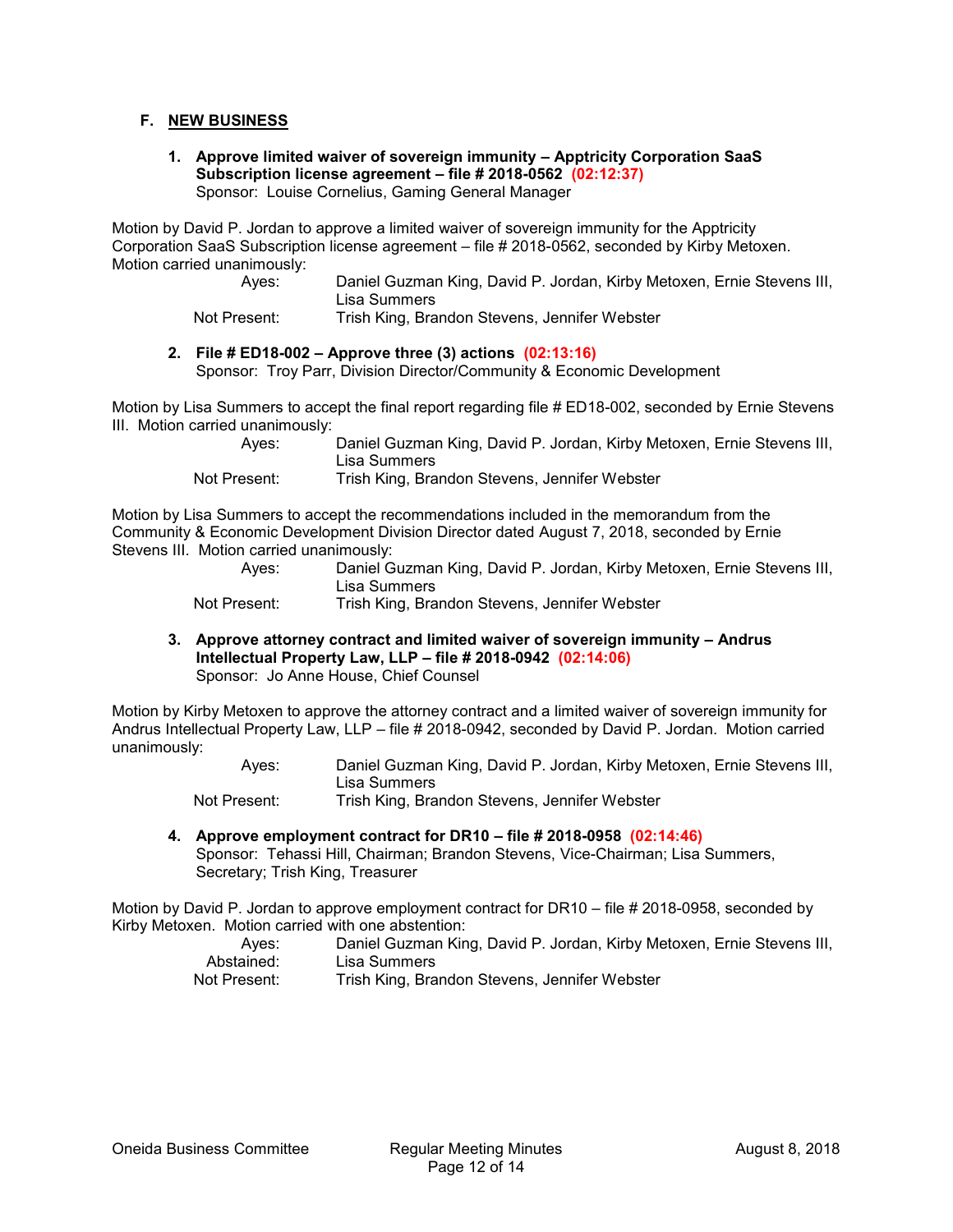## **F. NEW BUSINESS**

**1. Approve limited waiver of sovereign immunity – Apptricity Corporation SaaS Subscription license agreement – file # 2018-0562 (02:12:37)** Sponsor: Louise Cornelius, Gaming General Manager

Motion by David P. Jordan to approve a limited waiver of sovereign immunity for the Apptricity Corporation SaaS Subscription license agreement – file # 2018-0562, seconded by Kirby Metoxen. Motion carried unanimously:

| Ayes:    | Daniel Guzman King, David P. Jordan, Kirby Metoxen, Ernie Stevens III,<br>Lisa Summers |
|----------|----------------------------------------------------------------------------------------|
| $D = -1$ | Taish Kiss Dasaden Otsisaa HennifeatNishetsa                                           |

Not Present: Trish King, Brandon Stevens, Jennifer Webster

## **2. File # ED18-002 – Approve three (3) actions (02:13:16)**

Sponsor: Troy Parr, Division Director/Community & Economic Development

Motion by Lisa Summers to accept the final report regarding file # ED18-002, seconded by Ernie Stevens III. Motion carried unanimously:

| Aves:        | Daniel Guzman King, David P. Jordan, Kirby Metoxen, Ernie Stevens III, |
|--------------|------------------------------------------------------------------------|
|              | Lisa Summers                                                           |
| Not Present: | Trish King, Brandon Stevens, Jennifer Webster                          |

Motion by Lisa Summers to accept the recommendations included in the memorandum from the Community & Economic Development Division Director dated August 7, 2018, seconded by Ernie Stevens III. Motion carried unanimously:

| Aves:        | Daniel Guzman King, David P. Jordan, Kirby Metoxen, Ernie Stevens III, |
|--------------|------------------------------------------------------------------------|
|              | ∟isa Summers                                                           |
| Not Present: | Trish King, Brandon Stevens, Jennifer Webster                          |

**3. Approve attorney contract and limited waiver of sovereign immunity – Andrus Intellectual Property Law, LLP – file # 2018-0942 (02:14:06)** Sponsor: Jo Anne House, Chief Counsel

Motion by Kirby Metoxen to approve the attorney contract and a limited waiver of sovereign immunity for Andrus Intellectual Property Law, LLP – file # 2018-0942, seconded by David P. Jordan. Motion carried unanimously:

> Ayes: Daniel Guzman King, David P. Jordan, Kirby Metoxen, Ernie Stevens III, Lisa Summers Not Present: Trish King, Brandon Stevens, Jennifer Webster

**4. Approve employment contract for DR10 – file # 2018-0958 (02:14:46)** Sponsor: Tehassi Hill, Chairman; Brandon Stevens, Vice-Chairman; Lisa Summers, Secretary; Trish King, Treasurer

Motion by David P. Jordan to approve employment contract for DR10 – file # 2018-0958, seconded by Kirby Metoxen. Motion carried with one abstention:

| Ayes:        | Daniel Guzman King, David P. Jordan, Kirby Metoxen, Ernie Stevens III, |
|--------------|------------------------------------------------------------------------|
| Abstained:   | Lisa Summers                                                           |
| Not Present: | Trish King, Brandon Stevens, Jennifer Webster                          |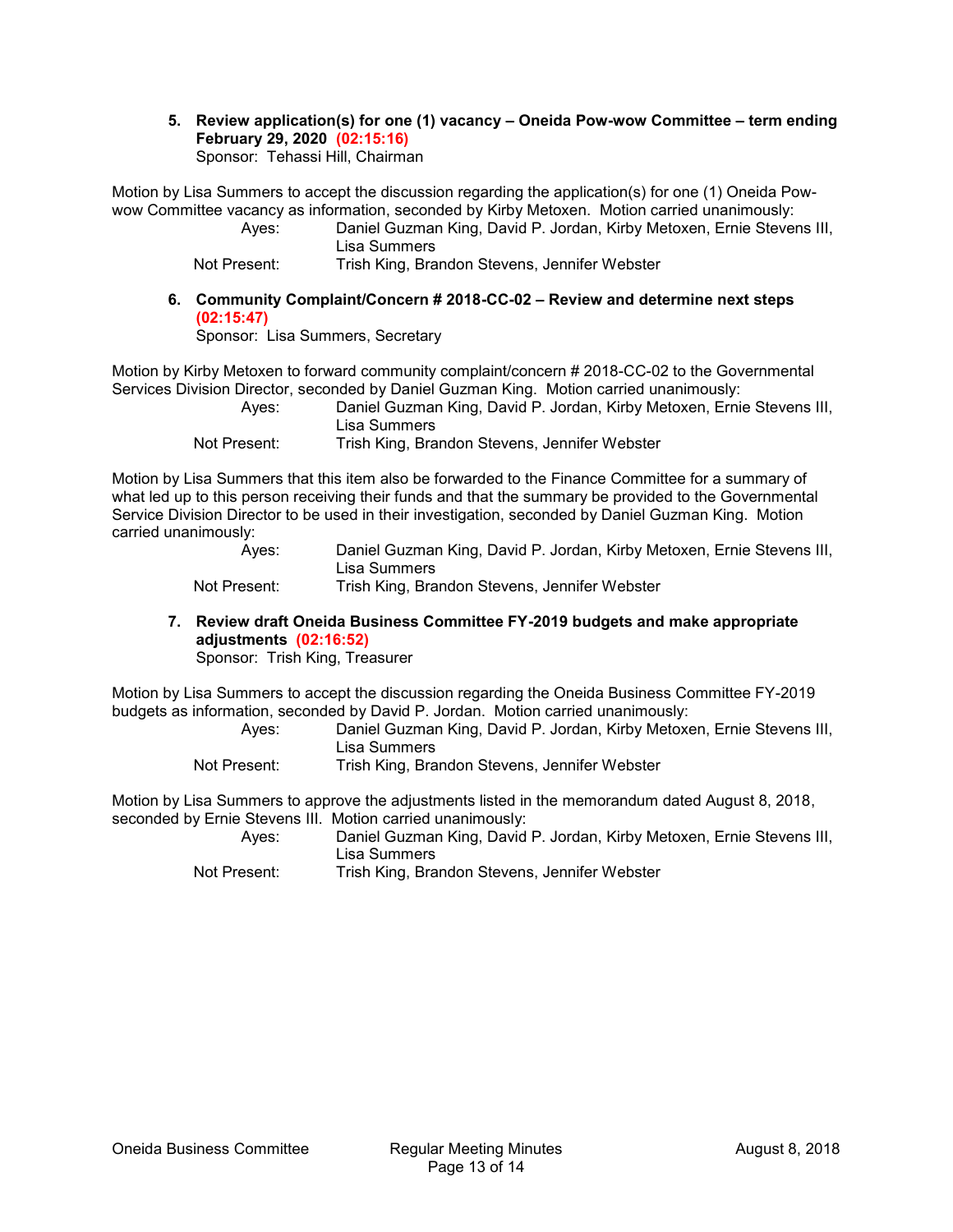#### **5. Review application(s) for one (1) vacancy – Oneida Pow-wow Committee – term ending February 29, 2020 (02:15:16)** Sponsor: Tehassi Hill, Chairman

Motion by Lisa Summers to accept the discussion regarding the application(s) for one (1) Oneida Powwow Committee vacancy as information, seconded by Kirby Metoxen. Motion carried unanimously:

Ayes: Daniel Guzman King, David P. Jordan, Kirby Metoxen, Ernie Stevens III, Lisa Summers

Not Present: Trish King, Brandon Stevens, Jennifer Webster

## **6. Community Complaint/Concern # 2018-CC-02 – Review and determine next steps (02:15:47)**

Sponsor: Lisa Summers, Secretary

Motion by Kirby Metoxen to forward community complaint/concern # 2018-CC-02 to the Governmental Services Division Director, seconded by Daniel Guzman King. Motion carried unanimously:

| Aves:        | Daniel Guzman King, David P. Jordan, Kirby Metoxen, Ernie Stevens III, |
|--------------|------------------------------------------------------------------------|
|              | ∟isa Summers                                                           |
| Not Present: | Trish King, Brandon Stevens, Jennifer Webster                          |

Motion by Lisa Summers that this item also be forwarded to the Finance Committee for a summary of what led up to this person receiving their funds and that the summary be provided to the Governmental Service Division Director to be used in their investigation, seconded by Daniel Guzman King. Motion carried unanimously:

Ayes: Daniel Guzman King, David P. Jordan, Kirby Metoxen, Ernie Stevens III, Lisa Summers

Not Present: Trish King, Brandon Stevens, Jennifer Webster

**7. Review draft Oneida Business Committee FY-2019 budgets and make appropriate adjustments (02:16:52)**

Sponsor: Trish King, Treasurer

Motion by Lisa Summers to accept the discussion regarding the Oneida Business Committee FY-2019 budgets as information, seconded by David P. Jordan. Motion carried unanimously:

| Aves:        | Daniel Guzman King, David P. Jordan, Kirby Metoxen, Ernie Stevens III, |
|--------------|------------------------------------------------------------------------|
|              | Lisa Summers                                                           |
| Not Present: | Trish King, Brandon Stevens, Jennifer Webster                          |

Motion by Lisa Summers to approve the adjustments listed in the memorandum dated August 8, 2018, seconded by Ernie Stevens III. Motion carried unanimously:

Ayes: Daniel Guzman King, David P. Jordan, Kirby Metoxen, Ernie Stevens III, Lisa Summers Not Present: Trish King, Brandon Stevens, Jennifer Webster